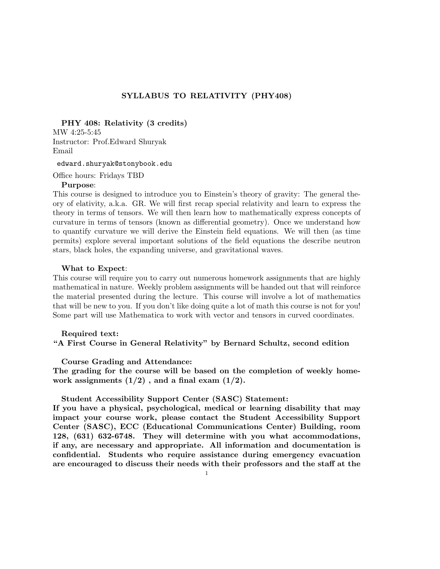# SYLLABUS TO RELATIVITY (PHY408)

PHY 408: Relativity (3 credits)

MW 4:25-5:45 Instructor: Prof.Edward Shuryak Email

edward.shuryak@stonybook.edu

Office hours: Fridays TBD

#### Purpose:

This course is designed to introduce you to Einstein's theory of gravity: The general theory of elativity, a.k.a. GR. We will first recap special relativity and learn to express the theory in terms of tensors. We will then learn how to mathematically express concepts of curvature in terms of tensors (known as differential geometry). Once we understand how to quantify curvature we will derive the Einstein field equations. We will then (as time permits) explore several important solutions of the field equations the describe neutron stars, black holes, the expanding universe, and gravitational waves.

#### What to Expect:

This course will require you to carry out numerous homework assignments that are highly mathematical in nature. Weekly problem assignments will be handed out that will reinforce the material presented during the lecture. This course will involve a lot of mathematics that will be new to you. If you don't like doing quite a lot of math this course is not for you! Some part will use Mathematica to work with vector and tensors in curved coordinates.

### Required text:

## "A First Course in General Relativity" by Bernard Schultz, second edition

Course Grading and Attendance:

The grading for the course will be based on the completion of weekly homework assignments  $(1/2)$ , and a final exam  $(1/2)$ .

## Student Accessibility Support Center (SASC) Statement:

If you have a physical, psychological, medical or learning disability that may impact your course work, please contact the Student Accessibility Support Center (SASC), ECC (Educational Communications Center) Building, room 128, (631) 632-6748. They will determine with you what accommodations, if any, are necessary and appropriate. All information and documentation is confidential. Students who require assistance during emergency evacuation are encouraged to discuss their needs with their professors and the staff at the